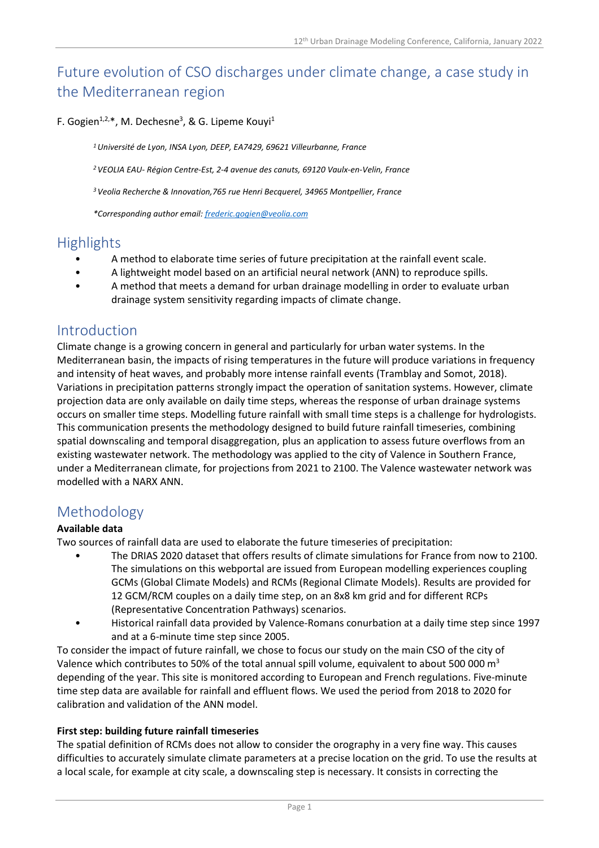# Future evolution of CSO discharges under climate change, a case study in the Mediterranean region

#### F. Gogien<sup>1,2,\*</sup>, M. Dechesne<sup>3</sup>, & G. Lipeme Kouyi<sup>1</sup>

*<sup>1</sup>Université de Lyon, INSA Lyon, DEEP, EA7429, 69621 Villeurbanne, France* 

*<sup>2</sup>VEOLIA EAU- Région Centre-Est, 2-4 avenue des canuts, 69120 Vaulx-en-Velin, France* 

*<sup>3</sup>Veolia Recherche & Innovation,765 rue Henri Becquerel, 34965 Montpellier, France* 

*\*Corresponding author email: frederic.gogien@veolia.com*

### **Highlights**

- A method to elaborate time series of future precipitation at the rainfall event scale.
- A lightweight model based on an artificial neural network (ANN) to reproduce spills.
- A method that meets a demand for urban drainage modelling in order to evaluate urban drainage system sensitivity regarding impacts of climate change.

### Introduction

Climate change is a growing concern in general and particularly for urban water systems. In the Mediterranean basin, the impacts of rising temperatures in the future will produce variations in frequency and intensity of heat waves, and probably more intense rainfall events (Tramblay and Somot, 2018). Variations in precipitation patterns strongly impact the operation of sanitation systems. However, climate projection data are only available on daily time steps, whereas the response of urban drainage systems occurs on smaller time steps. Modelling future rainfall with small time steps is a challenge for hydrologists. This communication presents the methodology designed to build future rainfall timeseries, combining spatial downscaling and temporal disaggregation, plus an application to assess future overflows from an existing wastewater network. The methodology was applied to the city of Valence in Southern France, under a Mediterranean climate, for projections from 2021 to 2100. The Valence wastewater network was modelled with a NARX ANN.

### Methodology

#### **Available data**

Two sources of rainfall data are used to elaborate the future timeseries of precipitation:

- The DRIAS 2020 dataset that offers results of climate simulations for France from now to 2100. The simulations on this webportal are issued from European modelling experiences coupling GCMs (Global Climate Models) and RCMs (Regional Climate Models). Results are provided for 12 GCM/RCM couples on a daily time step, on an 8x8 km grid and for different RCPs (Representative Concentration Pathways) scenarios.
- Historical rainfall data provided by Valence-Romans conurbation at a daily time step since 1997 and at a 6-minute time step since 2005.

To consider the impact of future rainfall, we chose to focus our study on the main CSO of the city of Valence which contributes to 50% of the total annual spill volume, equivalent to about 500 000 m<sup>3</sup> depending of the year. This site is monitored according to European and French regulations. Five-minute time step data are available for rainfall and effluent flows. We used the period from 2018 to 2020 for calibration and validation of the ANN model.

#### **First step: building future rainfall timeseries**

The spatial definition of RCMs does not allow to consider the orography in a very fine way. This causes difficulties to accurately simulate climate parameters at a precise location on the grid. To use the results at a local scale, for example at city scale, a downscaling step is necessary. It consists in correcting the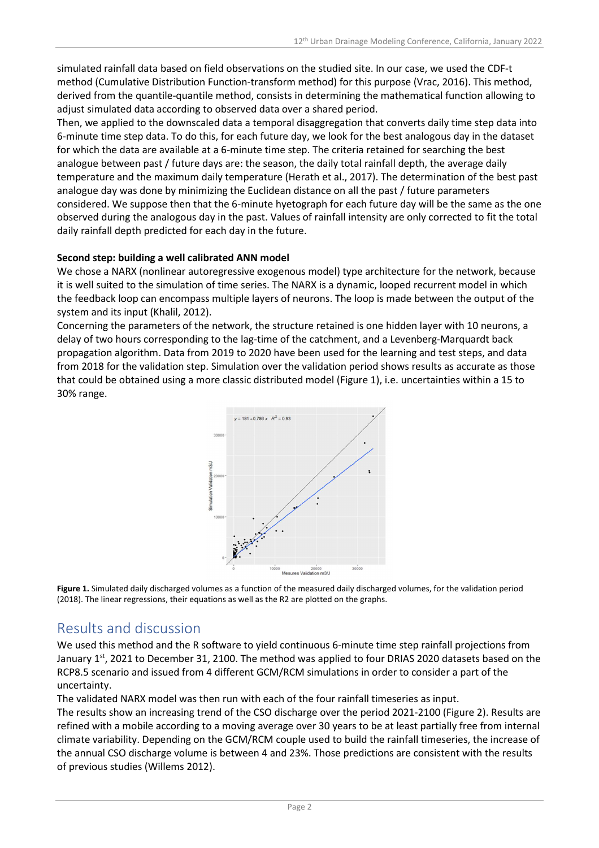simulated rainfall data based on field observations on the studied site. In our case, we used the CDF-t method (Cumulative Distribution Function-transform method) for this purpose (Vrac, 2016). This method, derived from the quantile-quantile method, consists in determining the mathematical function allowing to adjust simulated data according to observed data over a shared period.

Then, we applied to the downscaled data a temporal disaggregation that converts daily time step data into 6-minute time step data. To do this, for each future day, we look for the best analogous day in the dataset for which the data are available at a 6-minute time step. The criteria retained for searching the best analogue between past / future days are: the season, the daily total rainfall depth, the average daily temperature and the maximum daily temperature (Herath et al., 2017). The determination of the best past analogue day was done by minimizing the Euclidean distance on all the past / future parameters considered. We suppose then that the 6-minute hyetograph for each future day will be the same as the one observed during the analogous day in the past. Values of rainfall intensity are only corrected to fit the total daily rainfall depth predicted for each day in the future.

#### **Second step: building a well calibrated ANN model**

We chose a NARX (nonlinear autoregressive exogenous model) type architecture for the network, because it is well suited to the simulation of time series. The NARX is a dynamic, looped recurrent model in which the feedback loop can encompass multiple layers of neurons. The loop is made between the output of the system and its input (Khalil, 2012).

Concerning the parameters of the network, the structure retained is one hidden layer with 10 neurons, a delay of two hours corresponding to the lag-time of the catchment, and a Levenberg-Marquardt back propagation algorithm. Data from 2019 to 2020 have been used for the learning and test steps, and data from 2018 for the validation step. Simulation over the validation period shows results as accurate as those that could be obtained using a more classic distributed model (Figure 1), i.e. uncertainties within a 15 to 30% range.



**Figure 1.** Simulated daily discharged volumes as a function of the measured daily discharged volumes, for the validation period (2018). The linear regressions, their equations as well as the R2 are plotted on the graphs.

## Results and discussion

We used this method and the R software to yield continuous 6-minute time step rainfall projections from January 1st, 2021 to December 31, 2100. The method was applied to four DRIAS 2020 datasets based on the RCP8.5 scenario and issued from 4 different GCM/RCM simulations in order to consider a part of the uncertainty.

The validated NARX model was then run with each of the four rainfall timeseries as input.

The results show an increasing trend of the CSO discharge over the period 2021-2100 (Figure 2). Results are refined with a mobile according to a moving average over 30 years to be at least partially free from internal climate variability. Depending on the GCM/RCM couple used to build the rainfall timeseries, the increase of the annual CSO discharge volume is between 4 and 23%. Those predictions are consistent with the results of previous studies (Willems 2012).